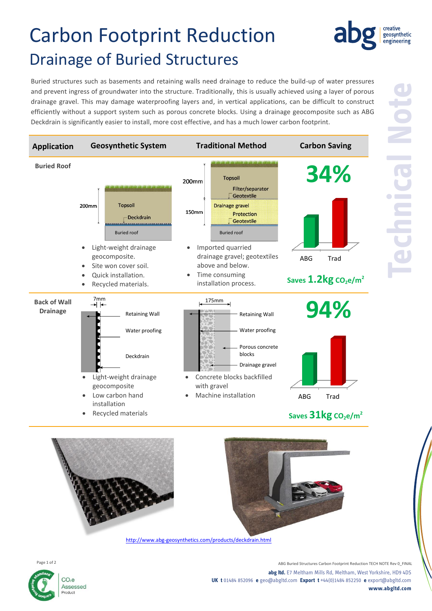# Carbon Footprint Reduction Drainage of Buried Structures

Buried structures such as basements and retaining walls need drainage to reduce the build-up of water pressures and prevent ingress of groundwater into the structure. Traditionally, this is usually achieved using a layer of porous drainage gravel. This may damage waterproofing layers and, in vertical applications, can be difficult to construct efficiently without a support system such as porous concrete blocks. Using a drainage geocomposite such as ABG Deckdrain is significantly easier to install, more cost effective, and has a much lower carbon footprint.







ABG Buried Structures Carbon Footprint Reduction TECH NOTE Rev 0\_FINAL **abg ltd.** E7 Meltham Mills Rd, Meltham, West Yorkshire, HD9 4DS **UK t** 01484 852096 **e** geo@abgltd.com **Export t** +44(0)1484 852250 **e** export@abgltd.com **www.abgltd.com**

creative geosynthetic engineering